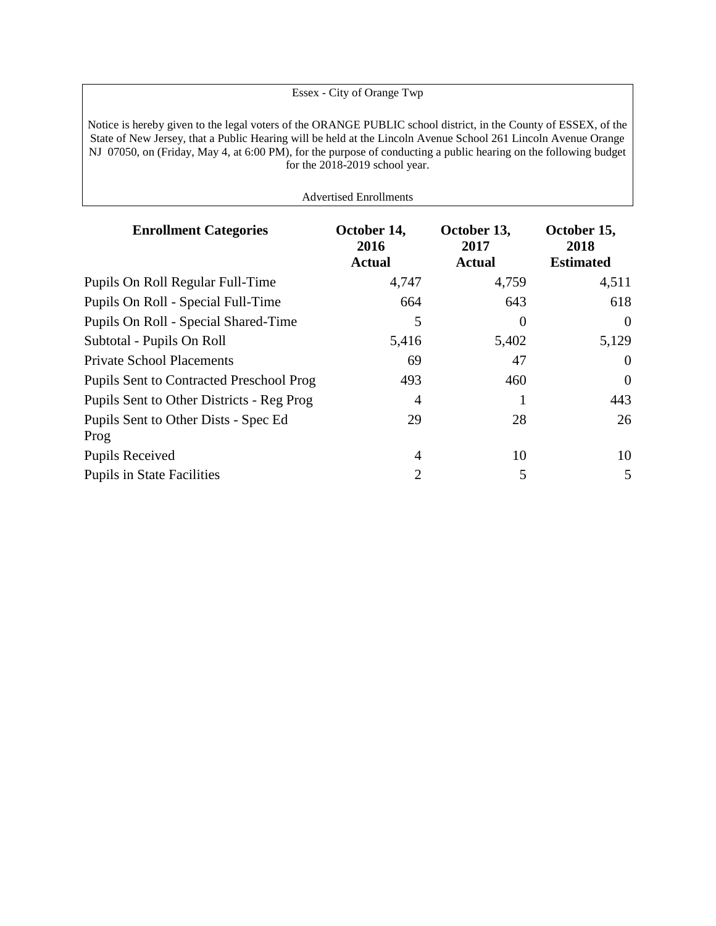Essex - City of Orange Twp Notice is hereby given to the legal voters of the ORANGE PUBLIC school district, in the County of ESSEX, of the State of New Jersey, that a Public Hearing will be held at the Lincoln Avenue School 261 Lincoln Avenue Orange NJ 07050, on (Friday, May 4, at 6:00 PM), for the purpose of conducting a public hearing on the following budget for the 2018-2019 school year.

Advertised Enrollments

| <b>Enrollment Categories</b>                    | October 14,<br>2016<br><b>Actual</b> | October 13,<br>2017<br><b>Actual</b> | October 15,<br>2018<br><b>Estimated</b> |
|-------------------------------------------------|--------------------------------------|--------------------------------------|-----------------------------------------|
| Pupils On Roll Regular Full-Time                | 4,747                                | 4,759                                | 4,511                                   |
| Pupils On Roll - Special Full-Time              | 664                                  | 643                                  | 618                                     |
| Pupils On Roll - Special Shared-Time            | 5                                    | $\theta$                             | $\theta$                                |
| Subtotal - Pupils On Roll                       | 5,416                                | 5,402                                | 5,129                                   |
| <b>Private School Placements</b>                | 69                                   | 47                                   | $\overline{0}$                          |
| <b>Pupils Sent to Contracted Preschool Prog</b> | 493                                  | 460                                  | $\mathbf{0}$                            |
| Pupils Sent to Other Districts - Reg Prog       | 4                                    |                                      | 443                                     |
| Pupils Sent to Other Dists - Spec Ed<br>Prog    | 29                                   | 28                                   | 26                                      |
| <b>Pupils Received</b>                          | 4                                    | 10                                   | 10                                      |
| <b>Pupils in State Facilities</b>               | 2                                    | 5                                    | 5                                       |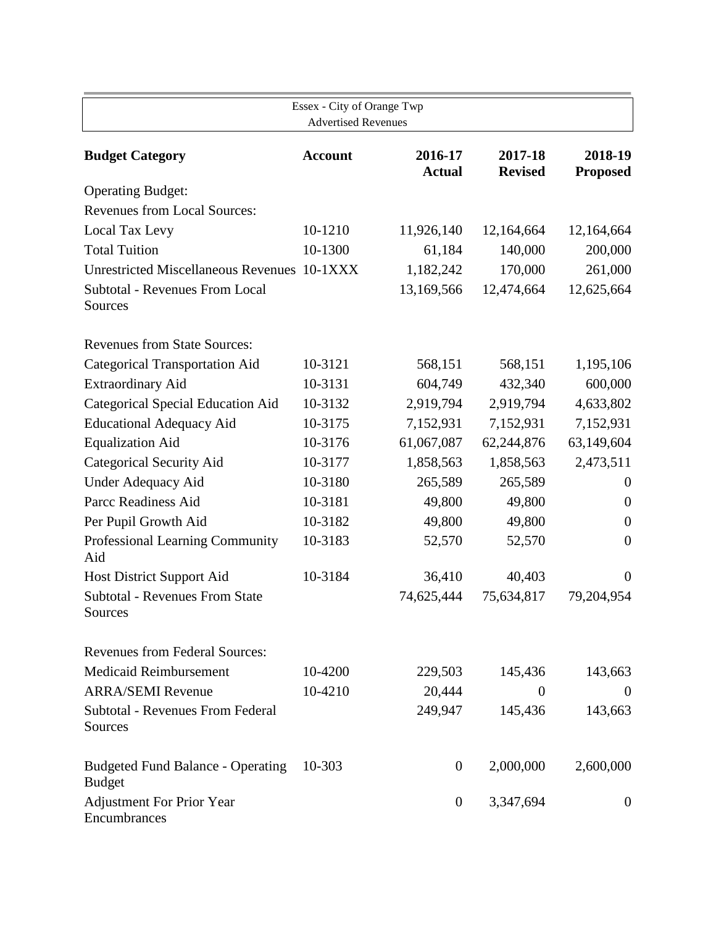| Essex - City of Orange Twp<br><b>Advertised Revenues</b>  |                |                          |                           |                            |  |
|-----------------------------------------------------------|----------------|--------------------------|---------------------------|----------------------------|--|
| <b>Budget Category</b>                                    | <b>Account</b> | 2016-17<br><b>Actual</b> | 2017-18<br><b>Revised</b> | 2018-19<br><b>Proposed</b> |  |
| <b>Operating Budget:</b>                                  |                |                          |                           |                            |  |
| <b>Revenues from Local Sources:</b>                       |                |                          |                           |                            |  |
| Local Tax Levy                                            | 10-1210        | 11,926,140               | 12,164,664                | 12,164,664                 |  |
| <b>Total Tuition</b>                                      | 10-1300        | 61,184                   | 140,000                   | 200,000                    |  |
| Unrestricted Miscellaneous Revenues 10-1XXX               |                | 1,182,242                | 170,000                   | 261,000                    |  |
| <b>Subtotal - Revenues From Local</b><br>Sources          |                | 13,169,566               | 12,474,664                | 12,625,664                 |  |
| <b>Revenues from State Sources:</b>                       |                |                          |                           |                            |  |
| <b>Categorical Transportation Aid</b>                     | 10-3121        | 568,151                  | 568,151                   | 1,195,106                  |  |
| <b>Extraordinary Aid</b>                                  | 10-3131        | 604,749                  | 432,340                   | 600,000                    |  |
| <b>Categorical Special Education Aid</b>                  | 10-3132        | 2,919,794                | 2,919,794                 | 4,633,802                  |  |
| <b>Educational Adequacy Aid</b>                           | 10-3175        | 7,152,931                | 7,152,931                 | 7,152,931                  |  |
| <b>Equalization Aid</b>                                   | 10-3176        | 61,067,087               | 62,244,876                | 63,149,604                 |  |
| <b>Categorical Security Aid</b>                           | 10-3177        | 1,858,563                | 1,858,563                 | 2,473,511                  |  |
| <b>Under Adequacy Aid</b>                                 | 10-3180        | 265,589                  | 265,589                   | $\theta$                   |  |
| Parcc Readiness Aid                                       | 10-3181        | 49,800                   | 49,800                    | $\theta$                   |  |
| Per Pupil Growth Aid                                      | 10-3182        | 49,800                   | 49,800                    | $\overline{0}$             |  |
| Professional Learning Community<br>Aid                    | 10-3183        | 52,570                   | 52,570                    | $\boldsymbol{0}$           |  |
| Host District Support Aid                                 | 10-3184        | 36,410                   | 40,403                    | $\theta$                   |  |
| <b>Subtotal - Revenues From State</b><br>Sources          |                | 74,625,444               | 75,634,817                | 79,204,954                 |  |
| <b>Revenues from Federal Sources:</b>                     |                |                          |                           |                            |  |
| <b>Medicaid Reimbursement</b>                             | 10-4200        | 229,503                  | 145,436                   | 143,663                    |  |
| <b>ARRA/SEMI Revenue</b>                                  | 10-4210        | 20,444                   | $\theta$                  | $\overline{0}$             |  |
| <b>Subtotal - Revenues From Federal</b><br>Sources        |                | 249,947                  | 145,436                   | 143,663                    |  |
| <b>Budgeted Fund Balance - Operating</b><br><b>Budget</b> | 10-303         | $\overline{0}$           | 2,000,000                 | 2,600,000                  |  |
| <b>Adjustment For Prior Year</b><br>Encumbrances          |                | $\boldsymbol{0}$         | 3,347,694                 | $\overline{0}$             |  |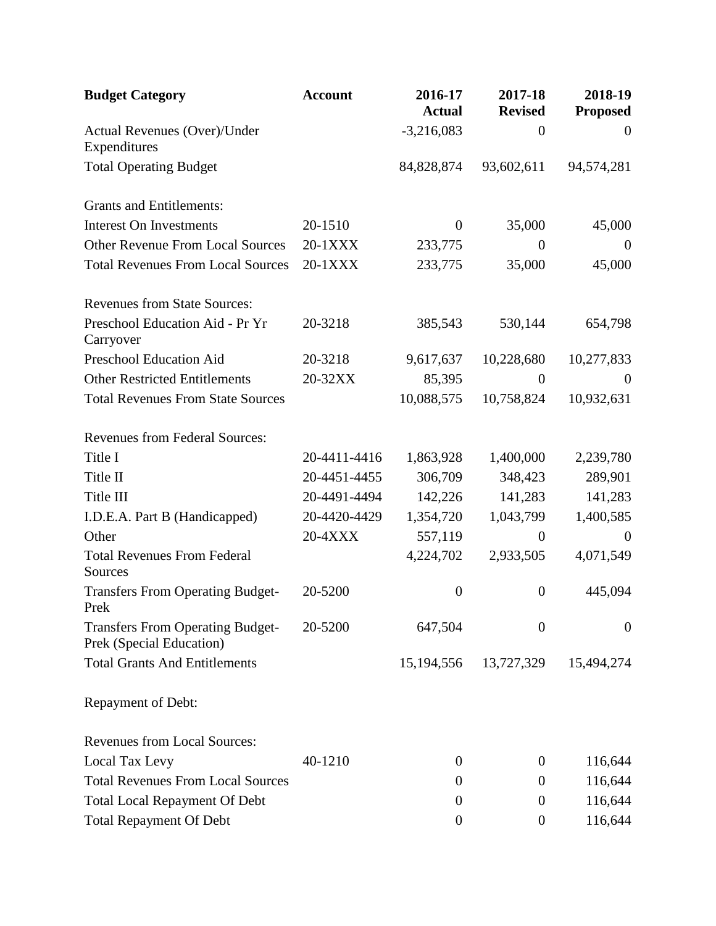| <b>Budget Category</b>                                              | <b>Account</b> | 2016-17<br><b>Actual</b> | 2017-18<br><b>Revised</b> | 2018-19<br><b>Proposed</b> |
|---------------------------------------------------------------------|----------------|--------------------------|---------------------------|----------------------------|
| Actual Revenues (Over)/Under<br>Expenditures                        |                | $-3,216,083$             | $\overline{0}$            | $\theta$                   |
| <b>Total Operating Budget</b>                                       |                | 84,828,874               | 93,602,611                | 94,574,281                 |
| <b>Grants and Entitlements:</b>                                     |                |                          |                           |                            |
| <b>Interest On Investments</b>                                      | 20-1510        | $\boldsymbol{0}$         | 35,000                    | 45,000                     |
| <b>Other Revenue From Local Sources</b>                             | 20-1XXX        | 233,775                  | $\theta$                  | $\theta$                   |
| <b>Total Revenues From Local Sources</b>                            | 20-1XXX        | 233,775                  | 35,000                    | 45,000                     |
| <b>Revenues from State Sources:</b>                                 |                |                          |                           |                            |
| Preschool Education Aid - Pr Yr<br>Carryover                        | 20-3218        | 385,543                  | 530,144                   | 654,798                    |
| <b>Preschool Education Aid</b>                                      | 20-3218        | 9,617,637                | 10,228,680                | 10,277,833                 |
| <b>Other Restricted Entitlements</b>                                | 20-32XX        | 85,395                   | $\theta$                  | $\mathbf{0}$               |
| <b>Total Revenues From State Sources</b>                            |                | 10,088,575               | 10,758,824                | 10,932,631                 |
| <b>Revenues from Federal Sources:</b>                               |                |                          |                           |                            |
| Title I                                                             | 20-4411-4416   | 1,863,928                | 1,400,000                 | 2,239,780                  |
| Title II                                                            | 20-4451-4455   | 306,709                  | 348,423                   | 289,901                    |
| Title III                                                           | 20-4491-4494   | 142,226                  | 141,283                   | 141,283                    |
| I.D.E.A. Part B (Handicapped)                                       | 20-4420-4429   | 1,354,720                | 1,043,799                 | 1,400,585                  |
| Other                                                               | 20-4XXX        | 557,119                  | $\overline{0}$            | $\theta$                   |
| <b>Total Revenues From Federal</b><br>Sources                       |                | 4,224,702                | 2,933,505                 | 4,071,549                  |
| <b>Transfers From Operating Budget-</b><br>Prek                     | 20-5200        | $\boldsymbol{0}$         | $\boldsymbol{0}$          | 445,094                    |
| <b>Transfers From Operating Budget-</b><br>Prek (Special Education) | 20-5200        | 647,504                  | $\boldsymbol{0}$          | $\overline{0}$             |
| <b>Total Grants And Entitlements</b>                                |                | 15,194,556               | 13,727,329                | 15,494,274                 |
| Repayment of Debt:                                                  |                |                          |                           |                            |
| <b>Revenues from Local Sources:</b>                                 |                |                          |                           |                            |
| Local Tax Levy                                                      | 40-1210        | $\theta$                 | $\theta$                  | 116,644                    |
| <b>Total Revenues From Local Sources</b>                            |                | $\theta$                 | $\boldsymbol{0}$          | 116,644                    |
| <b>Total Local Repayment Of Debt</b>                                |                | $\theta$                 | $\theta$                  | 116,644                    |
| <b>Total Repayment Of Debt</b>                                      |                | $\boldsymbol{0}$         | $\boldsymbol{0}$          | 116,644                    |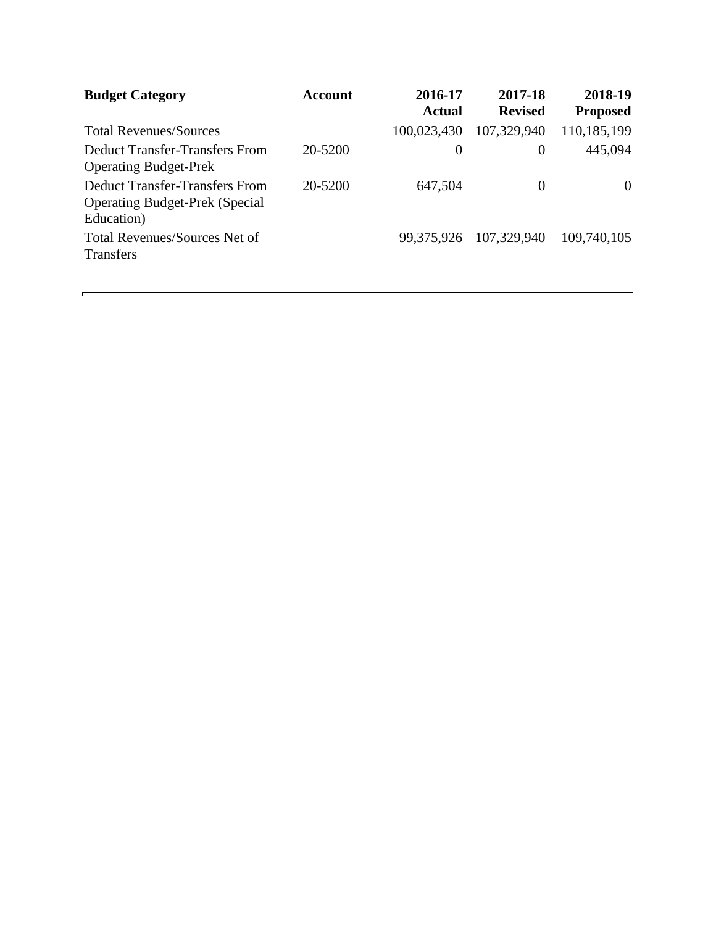| <b>Budget Category</b>                                                                       | Account | 2016-17<br><b>Actual</b> | 2017-18<br><b>Revised</b> | 2018-19<br><b>Proposed</b> |
|----------------------------------------------------------------------------------------------|---------|--------------------------|---------------------------|----------------------------|
| <b>Total Revenues/Sources</b>                                                                |         | 100,023,430              | 107,329,940               | 110,185,199                |
| <b>Deduct Transfer-Transfers From</b><br><b>Operating Budget-Prek</b>                        | 20-5200 | $\theta$                 | $\theta$                  | 445,094                    |
| <b>Deduct Transfer-Transfers From</b><br><b>Operating Budget-Prek (Special</b><br>Education) | 20-5200 | 647,504                  | $\Omega$                  | $\Omega$                   |
| <b>Total Revenues/Sources Net of</b><br><b>Transfers</b>                                     |         | 99,375,926               | 107,329,940               | 109,740,105                |

 $\overline{\phantom{0}}$ 

 $\sim$  100  $\mu$  m  $^{-1}$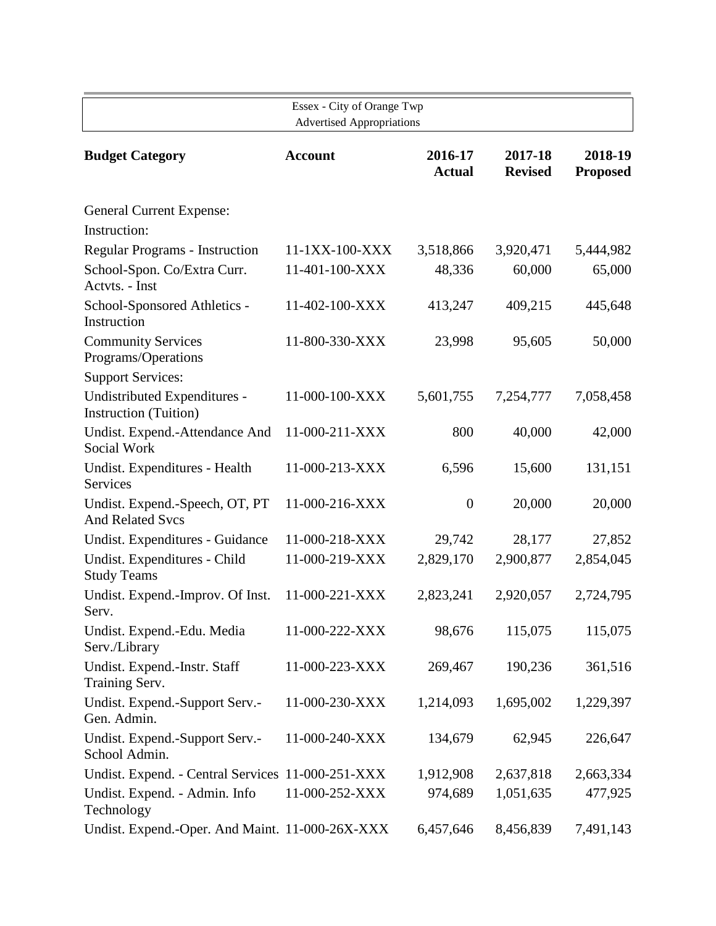| Essex - City of Orange Twp<br><b>Advertised Appropriations</b> |                |                          |                           |                            |  |  |
|----------------------------------------------------------------|----------------|--------------------------|---------------------------|----------------------------|--|--|
| <b>Budget Category</b>                                         | <b>Account</b> | 2016-17<br><b>Actual</b> | 2017-18<br><b>Revised</b> | 2018-19<br><b>Proposed</b> |  |  |
| <b>General Current Expense:</b>                                |                |                          |                           |                            |  |  |
| Instruction:                                                   |                |                          |                           |                            |  |  |
| <b>Regular Programs - Instruction</b>                          | 11-1XX-100-XXX | 3,518,866                | 3,920,471                 | 5,444,982                  |  |  |
| School-Spon. Co/Extra Curr.<br>Actvts. - Inst                  | 11-401-100-XXX | 48,336                   | 60,000                    | 65,000                     |  |  |
| School-Sponsored Athletics -<br>Instruction                    | 11-402-100-XXX | 413,247                  | 409,215                   | 445,648                    |  |  |
| <b>Community Services</b><br>Programs/Operations               | 11-800-330-XXX | 23,998                   | 95,605                    | 50,000                     |  |  |
| <b>Support Services:</b>                                       |                |                          |                           |                            |  |  |
| Undistributed Expenditures -<br><b>Instruction</b> (Tuition)   | 11-000-100-XXX | 5,601,755                | 7,254,777                 | 7,058,458                  |  |  |
| Undist. Expend.-Attendance And<br>Social Work                  | 11-000-211-XXX | 800                      | 40,000                    | 42,000                     |  |  |
| Undist. Expenditures - Health<br>Services                      | 11-000-213-XXX | 6,596                    | 15,600                    | 131,151                    |  |  |
| Undist. Expend.-Speech, OT, PT<br><b>And Related Svcs</b>      | 11-000-216-XXX | $\boldsymbol{0}$         | 20,000                    | 20,000                     |  |  |
| Undist. Expenditures - Guidance                                | 11-000-218-XXX | 29,742                   | 28,177                    | 27,852                     |  |  |
| Undist. Expenditures - Child<br><b>Study Teams</b>             | 11-000-219-XXX | 2,829,170                | 2,900,877                 | 2,854,045                  |  |  |
| Undist. Expend.-Improv. Of Inst.<br>Serv.                      | 11-000-221-XXX | 2,823,241                | 2,920,057                 | 2,724,795                  |  |  |
| Undist. Expend.-Edu. Media<br>Serv./Library                    | 11-000-222-XXX | 98,676                   | 115,075                   | 115,075                    |  |  |
| Undist. Expend.-Instr. Staff<br>Training Serv.                 | 11-000-223-XXX | 269,467                  | 190,236                   | 361,516                    |  |  |
| Undist. Expend.-Support Serv.-<br>Gen. Admin.                  | 11-000-230-XXX | 1,214,093                | 1,695,002                 | 1,229,397                  |  |  |
| Undist. Expend.-Support Serv.-<br>School Admin.                | 11-000-240-XXX | 134,679                  | 62,945                    | 226,647                    |  |  |
| Undist. Expend. - Central Services 11-000-251-XXX              |                | 1,912,908                | 2,637,818                 | 2,663,334                  |  |  |
| Undist. Expend. - Admin. Info<br>Technology                    | 11-000-252-XXX | 974,689                  | 1,051,635                 | 477,925                    |  |  |
| Undist. Expend.-Oper. And Maint. 11-000-26X-XXX                |                | 6,457,646                | 8,456,839                 | 7,491,143                  |  |  |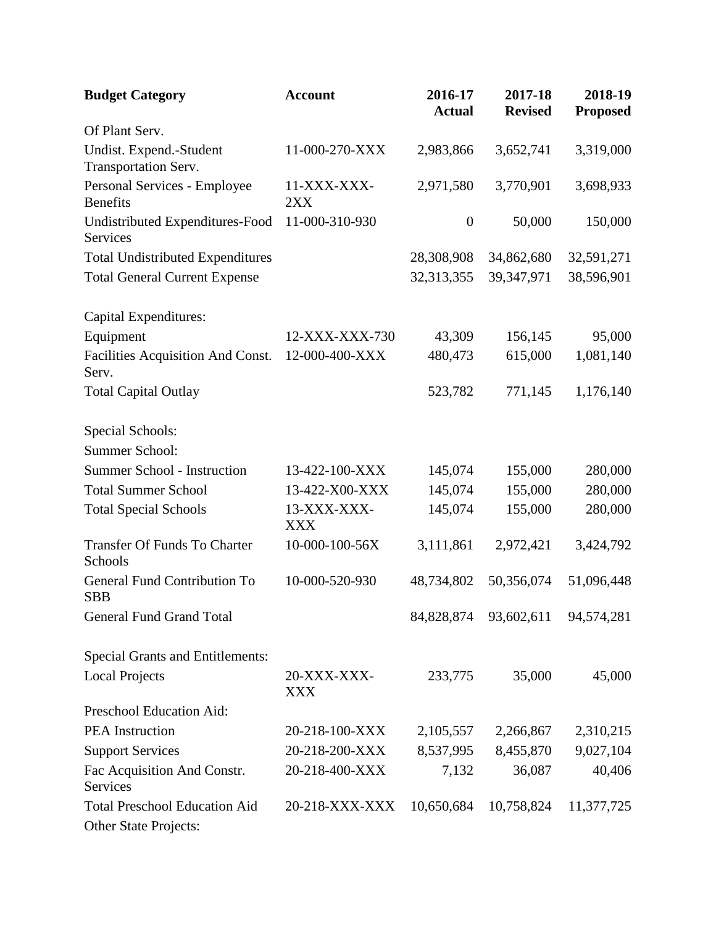| <b>Budget Category</b>                            | <b>Account</b>            | 2016-17<br><b>Actual</b> | 2017-18<br><b>Revised</b> | 2018-19<br><b>Proposed</b> |
|---------------------------------------------------|---------------------------|--------------------------|---------------------------|----------------------------|
| Of Plant Serv.                                    |                           |                          |                           |                            |
| Undist. Expend.-Student<br>Transportation Serv.   | 11-000-270-XXX            | 2,983,866                | 3,652,741                 | 3,319,000                  |
| Personal Services - Employee<br><b>Benefits</b>   | 11-XXX-XXX-<br>2XX        | 2,971,580                | 3,770,901                 | 3,698,933                  |
| Undistributed Expenditures-Food<br>Services       | 11-000-310-930            | $\boldsymbol{0}$         | 50,000                    | 150,000                    |
| <b>Total Undistributed Expenditures</b>           |                           | 28,308,908               | 34,862,680                | 32,591,271                 |
| <b>Total General Current Expense</b>              |                           | 32,313,355               | 39,347,971                | 38,596,901                 |
| Capital Expenditures:                             |                           |                          |                           |                            |
| Equipment                                         | 12-XXX-XXX-730            | 43,309                   | 156,145                   | 95,000                     |
| Facilities Acquisition And Const.<br>Serv.        | 12-000-400-XXX            | 480,473                  | 615,000                   | 1,081,140                  |
| <b>Total Capital Outlay</b>                       |                           | 523,782                  | 771,145                   | 1,176,140                  |
| Special Schools:                                  |                           |                          |                           |                            |
| Summer School:                                    |                           |                          |                           |                            |
| <b>Summer School - Instruction</b>                | 13-422-100-XXX            | 145,074                  | 155,000                   | 280,000                    |
| <b>Total Summer School</b>                        | 13-422-X00-XXX            | 145,074                  | 155,000                   | 280,000                    |
| <b>Total Special Schools</b>                      | 13-XXX-XXX-<br><b>XXX</b> | 145,074                  | 155,000                   | 280,000                    |
| <b>Transfer Of Funds To Charter</b><br>Schools    | 10-000-100-56X            | 3,111,861                | 2,972,421                 | 3,424,792                  |
| <b>General Fund Contribution To</b><br><b>SBB</b> | 10-000-520-930            | 48,734,802               | 50,356,074                | 51,096,448                 |
| <b>General Fund Grand Total</b>                   |                           | 84,828,874               | 93,602,611                | 94,574,281                 |
| <b>Special Grants and Entitlements:</b>           |                           |                          |                           |                            |
| <b>Local Projects</b>                             | 20-XXX-XXX-<br>XXX        | 233,775                  | 35,000                    | 45,000                     |
| Preschool Education Aid:                          |                           |                          |                           |                            |
| <b>PEA</b> Instruction                            | 20-218-100-XXX            | 2,105,557                | 2,266,867                 | 2,310,215                  |
| <b>Support Services</b>                           | 20-218-200-XXX            | 8,537,995                | 8,455,870                 | 9,027,104                  |
| Fac Acquisition And Constr.<br>Services           | 20-218-400-XXX            | 7,132                    | 36,087                    | 40,406                     |
| <b>Total Preschool Education Aid</b>              | 20-218-XXX-XXX            | 10,650,684               | 10,758,824                | 11,377,725                 |
| Other State Projects:                             |                           |                          |                           |                            |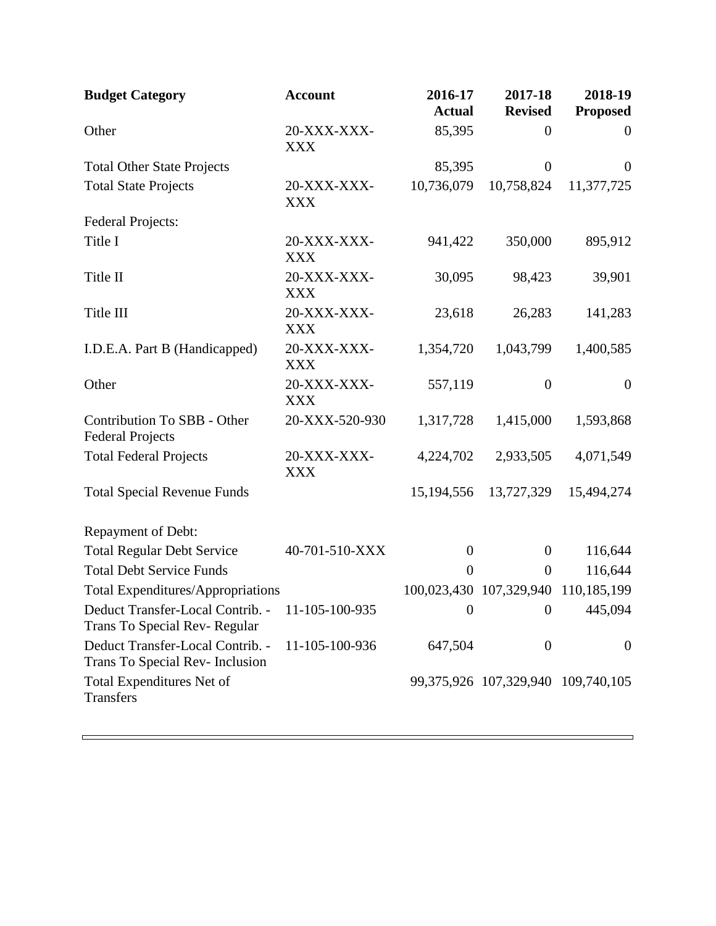| <b>Budget Category</b>                                                          | <b>Account</b>            | 2016-17<br><b>Actual</b> | 2017-18<br><b>Revised</b>                | 2018-19<br><b>Proposed</b> |
|---------------------------------------------------------------------------------|---------------------------|--------------------------|------------------------------------------|----------------------------|
| Other                                                                           | 20-XXX-XXX-<br><b>XXX</b> | 85,395                   | $\boldsymbol{0}$                         | $\mathbf{0}$               |
| <b>Total Other State Projects</b>                                               |                           | 85,395                   | $\boldsymbol{0}$                         | $\overline{0}$             |
| <b>Total State Projects</b>                                                     | 20-XXX-XXX-<br><b>XXX</b> | 10,736,079               | 10,758,824                               | 11,377,725                 |
| <b>Federal Projects:</b>                                                        |                           |                          |                                          |                            |
| Title I                                                                         | 20-XXX-XXX-<br><b>XXX</b> | 941,422                  | 350,000                                  | 895,912                    |
| Title II                                                                        | 20-XXX-XXX-<br><b>XXX</b> | 30,095                   | 98,423                                   | 39,901                     |
| Title III                                                                       | 20-XXX-XXX-<br><b>XXX</b> | 23,618                   | 26,283                                   | 141,283                    |
| I.D.E.A. Part B (Handicapped)                                                   | 20-XXX-XXX-<br><b>XXX</b> | 1,354,720                | 1,043,799                                | 1,400,585                  |
| Other                                                                           | 20-XXX-XXX-<br><b>XXX</b> | 557,119                  | $\theta$                                 | $\mathbf{0}$               |
| Contribution To SBB - Other<br><b>Federal Projects</b>                          | 20-XXX-520-930            | 1,317,728                | 1,415,000                                | 1,593,868                  |
| <b>Total Federal Projects</b>                                                   | 20-XXX-XXX-<br><b>XXX</b> | 4,224,702                | 2,933,505                                | 4,071,549                  |
| <b>Total Special Revenue Funds</b>                                              |                           | 15, 194, 556             | 13,727,329                               | 15,494,274                 |
| Repayment of Debt:                                                              |                           |                          |                                          |                            |
| <b>Total Regular Debt Service</b>                                               | 40-701-510-XXX            | $\boldsymbol{0}$         | $\overline{0}$                           | 116,644                    |
| <b>Total Debt Service Funds</b>                                                 |                           | $\overline{0}$           | $\overline{0}$                           | 116,644                    |
| <b>Total Expenditures/Appropriations</b>                                        |                           |                          | 100,023,430 107,329,940 110,185,199      |                            |
| Deduct Transfer-Local Contrib. - 11-105-100-935<br>Trans To Special Rev-Regular |                           |                          | 0 $0$ 445,094                            |                            |
| Deduct Transfer-Local Contrib. -<br>Trans To Special Rev- Inclusion             | 11-105-100-936            | 647,504                  | $\overline{0}$                           | $\overline{0}$             |
| Total Expenditures Net of<br><b>Transfers</b>                                   |                           |                          | 99, 375, 926 107, 329, 940 109, 740, 105 |                            |

5

 $\Box$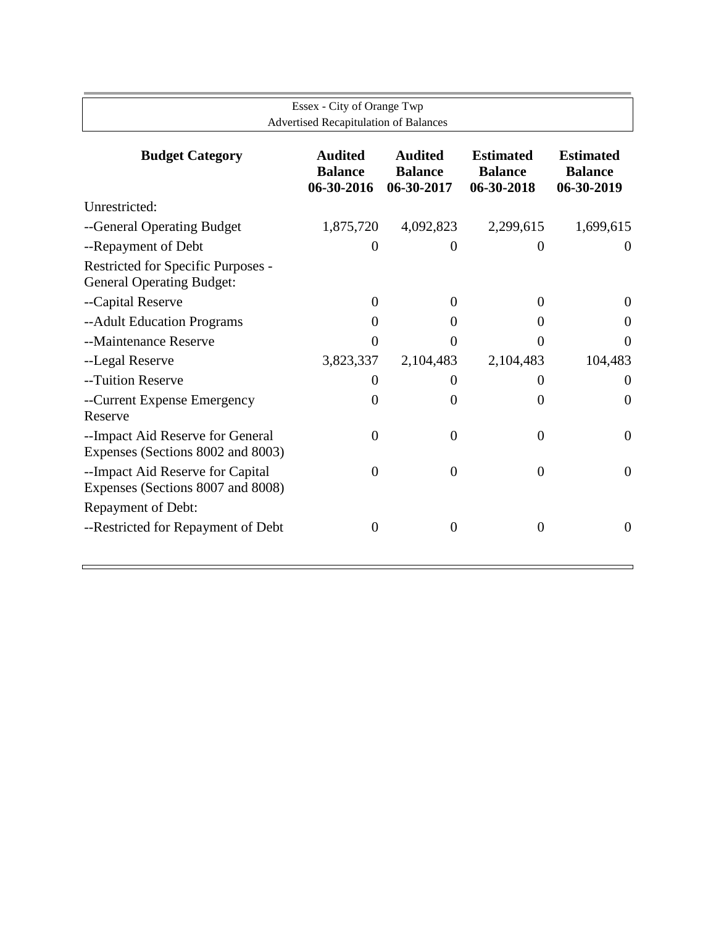| Essex - City of Orange Twp                                                                                                                                                                                                         |                  |                                              |                |  |  |  |  |  |  |
|------------------------------------------------------------------------------------------------------------------------------------------------------------------------------------------------------------------------------------|------------------|----------------------------------------------|----------------|--|--|--|--|--|--|
|                                                                                                                                                                                                                                    |                  |                                              |                |  |  |  |  |  |  |
| <b>Audited</b><br><b>Audited</b><br><b>Budget Category</b><br><b>Estimated</b><br><b>Estimated</b><br><b>Balance</b><br><b>Balance</b><br><b>Balance</b><br><b>Balance</b><br>06-30-2016<br>06-30-2017<br>06-30-2018<br>06-30-2019 |                  |                                              |                |  |  |  |  |  |  |
|                                                                                                                                                                                                                                    |                  |                                              |                |  |  |  |  |  |  |
| 1,875,720                                                                                                                                                                                                                          | 4,092,823        | 2,299,615                                    | 1,699,615      |  |  |  |  |  |  |
| $\overline{0}$                                                                                                                                                                                                                     | $\theta$         | 0                                            | $\theta$       |  |  |  |  |  |  |
|                                                                                                                                                                                                                                    |                  |                                              |                |  |  |  |  |  |  |
| $\theta$                                                                                                                                                                                                                           | $\theta$         | $\theta$                                     | $\theta$       |  |  |  |  |  |  |
| 0                                                                                                                                                                                                                                  | $\Omega$         | 0                                            | $\theta$       |  |  |  |  |  |  |
| $\Omega$                                                                                                                                                                                                                           | $\Omega$         | 0                                            | $\Omega$       |  |  |  |  |  |  |
| 3,823,337                                                                                                                                                                                                                          | 2,104,483        | 2,104,483                                    | 104,483        |  |  |  |  |  |  |
| $\Omega$                                                                                                                                                                                                                           | $\theta$         | 0                                            | $\theta$       |  |  |  |  |  |  |
| $\theta$                                                                                                                                                                                                                           | $\overline{0}$   | $\overline{0}$                               | $\overline{0}$ |  |  |  |  |  |  |
| $\Omega$                                                                                                                                                                                                                           | $\overline{0}$   | 0                                            | $\overline{0}$ |  |  |  |  |  |  |
| 0                                                                                                                                                                                                                                  | $\overline{0}$   | $\Omega$                                     | $\overline{0}$ |  |  |  |  |  |  |
|                                                                                                                                                                                                                                    |                  |                                              |                |  |  |  |  |  |  |
| $\overline{0}$                                                                                                                                                                                                                     | $\boldsymbol{0}$ | $\overline{0}$                               | $\theta$       |  |  |  |  |  |  |
|                                                                                                                                                                                                                                    |                  | <b>Advertised Recapitulation of Balances</b> |                |  |  |  |  |  |  |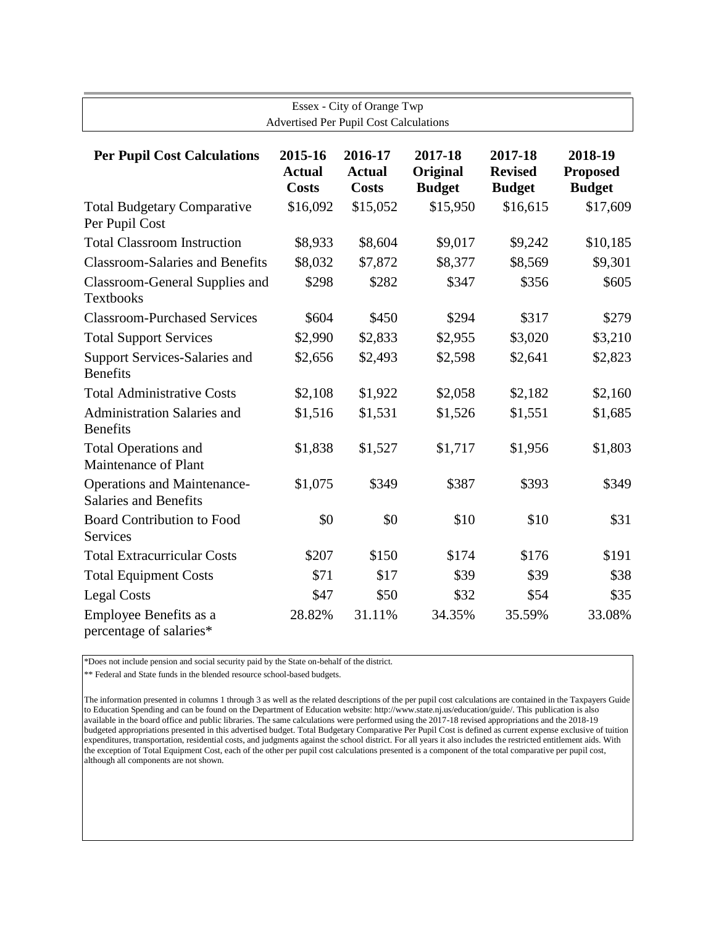| Essex - City of Orange Twp<br><b>Advertised Per Pupil Cost Calculations</b> |                                          |                                          |                                      |                                            |                                             |  |
|-----------------------------------------------------------------------------|------------------------------------------|------------------------------------------|--------------------------------------|--------------------------------------------|---------------------------------------------|--|
| <b>Per Pupil Cost Calculations</b>                                          | 2015-16<br><b>Actual</b><br><b>Costs</b> | 2016-17<br><b>Actual</b><br><b>Costs</b> | 2017-18<br>Original<br><b>Budget</b> | 2017-18<br><b>Revised</b><br><b>Budget</b> | 2018-19<br><b>Proposed</b><br><b>Budget</b> |  |
| <b>Total Budgetary Comparative</b><br>Per Pupil Cost                        | \$16,092                                 | \$15,052                                 | \$15,950                             | \$16,615                                   | \$17,609                                    |  |
| <b>Total Classroom Instruction</b>                                          | \$8,933                                  | \$8,604                                  | \$9,017                              | \$9,242                                    | \$10,185                                    |  |
| <b>Classroom-Salaries and Benefits</b>                                      | \$8,032                                  | \$7,872                                  | \$8,377                              | \$8,569                                    | \$9,301                                     |  |
| <b>Classroom-General Supplies and</b><br><b>Textbooks</b>                   | \$298                                    | \$282                                    | \$347                                | \$356                                      | \$605                                       |  |
| <b>Classroom-Purchased Services</b>                                         | \$604                                    | \$450                                    | \$294                                | \$317                                      | \$279                                       |  |
| <b>Total Support Services</b>                                               | \$2,990                                  | \$2,833                                  | \$2,955                              | \$3,020                                    | \$3,210                                     |  |
| <b>Support Services-Salaries and</b><br><b>Benefits</b>                     | \$2,656                                  | \$2,493                                  | \$2,598                              | \$2,641                                    | \$2,823                                     |  |
| <b>Total Administrative Costs</b>                                           | \$2,108                                  | \$1,922                                  | \$2,058                              | \$2,182                                    | \$2,160                                     |  |
| <b>Administration Salaries and</b><br><b>Benefits</b>                       | \$1,516                                  | \$1,531                                  | \$1,526                              | \$1,551                                    | \$1,685                                     |  |
| <b>Total Operations and</b><br>Maintenance of Plant                         | \$1,838                                  | \$1,527                                  | \$1,717                              | \$1,956                                    | \$1,803                                     |  |
| Operations and Maintenance-<br><b>Salaries and Benefits</b>                 | \$1,075                                  | \$349                                    | \$387                                | \$393                                      | \$349                                       |  |
| <b>Board Contribution to Food</b><br>Services                               | \$0                                      | \$0                                      | \$10                                 | \$10                                       | \$31                                        |  |
| <b>Total Extracurricular Costs</b>                                          | \$207                                    | \$150                                    | \$174                                | \$176                                      | \$191                                       |  |
| <b>Total Equipment Costs</b>                                                | \$71                                     | \$17                                     | \$39                                 | \$39                                       | \$38                                        |  |
| <b>Legal Costs</b>                                                          | \$47                                     | \$50                                     | \$32                                 | \$54                                       | \$35                                        |  |
| Employee Benefits as a<br>percentage of salaries*                           | 28.82%                                   | 31.11%                                   | 34.35%                               | 35.59%                                     | 33.08%                                      |  |

\*Does not include pension and social security paid by the State on-behalf of the district.

\*\* Federal and State funds in the blended resource school-based budgets.

The information presented in columns 1 through 3 as well as the related descriptions of the per pupil cost calculations are contained in the Taxpayers Guide to Education Spending and can be found on the Department of Education website: http://www.state.nj.us/education/guide/. This publication is also available in the board office and public libraries. The same calculations were performed using the 2017-18 revised appropriations and the 2018-19 budgeted appropriations presented in this advertised budget. Total Budgetary Comparative Per Pupil Cost is defined as current expense exclusive of tuition expenditures, transportation, residential costs, and judgments against the school district. For all years it also includes the restricted entitlement aids. With the exception of Total Equipment Cost, each of the other per pupil cost calculations presented is a component of the total comparative per pupil cost, although all components are not shown.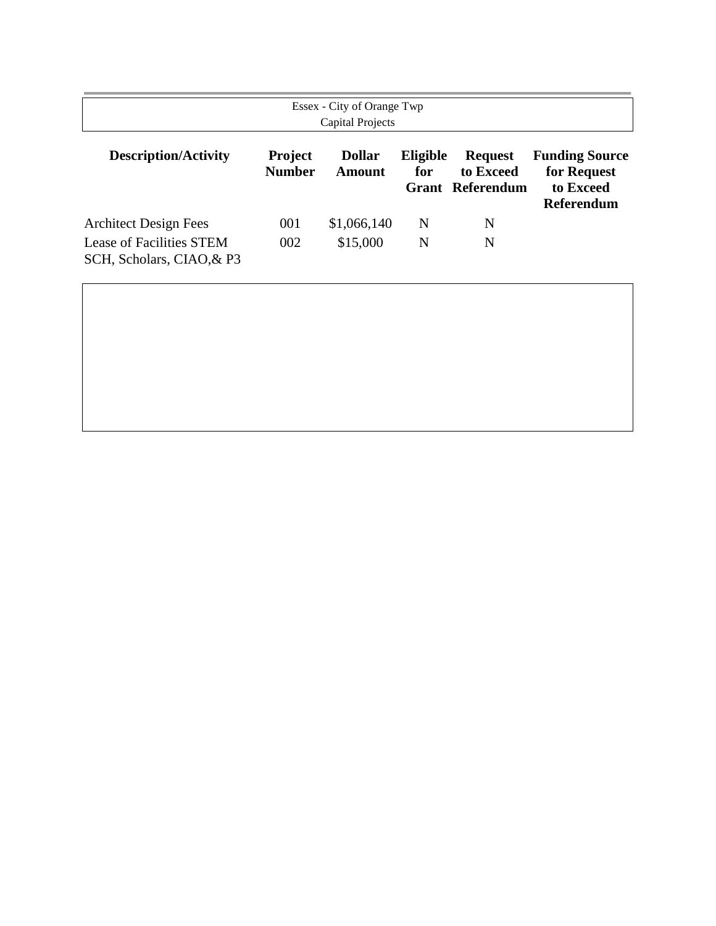| Essex - City of Orange Twp<br><b>Capital Projects</b>                                 |                                 |                         |                 |                                                        |                                                                        |  |
|---------------------------------------------------------------------------------------|---------------------------------|-------------------------|-----------------|--------------------------------------------------------|------------------------------------------------------------------------|--|
| <b>Description/Activity</b>                                                           | <b>Project</b><br><b>Number</b> | <b>Dollar</b><br>Amount | Eligible<br>for | <b>Request</b><br>to Exceed<br><b>Grant Referendum</b> | <b>Funding Source</b><br>for Request<br>to Exceed<br><b>Referendum</b> |  |
| <b>Architect Design Fees</b><br>Lease of Facilities STEM<br>SCH, Scholars, CIAO, & P3 | 001<br>002                      | \$1,066,140<br>\$15,000 | N<br>N          | N<br>N                                                 |                                                                        |  |